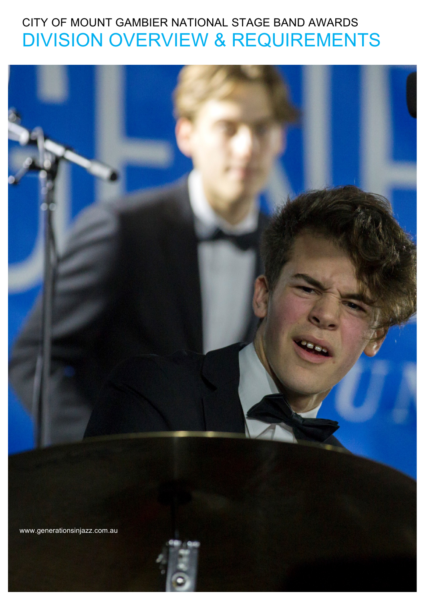# CITY OF MOUNT GAMBIER NATIONAL STAGE BAND AWARDS DIVISION OVERVIEW & REQUIREMENTS

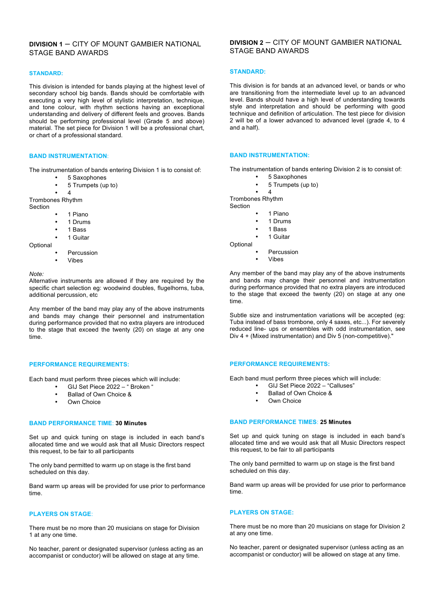# **DIVISION 1** – CITY OF MOUNT GAMBIER NATIONAL STAGE BAND AWARDS

# **STANDARD:**

This division is intended for bands playing at the highest level of secondary school big bands. Bands should be comfortable with executing a very high level of stylistic interpretation, technique, and tone colour, with rhythm sections having an exceptional understanding and delivery of different feels and grooves. Bands should be performing professional level (Grade 5 and above) material. The set piece for Division 1 will be a professional chart, or chart of a professional standard.

# **BAND INSTRUMENTATION**:

The instrumentation of bands entering Division 1 is to consist of:

- 5 Saxophones
- 5 Trumpets (up to)
- 4

Trombones Rhythm

Section

- 1 Piano
- 1 Drums
- 1 Bass
- 1 Guitar

**Optional** 

- **Percussion**
- Vibes

*Note:* 

Alternative instruments are allowed if they are required by the specific chart selection eg: woodwind doubles, flugelhorns, tuba, additional percussion, etc

Any member of the band may play any of the above instruments and bands may change their personnel and instrumentation during performance provided that no extra players are introduced to the stage that exceed the twenty (20) on stage at any one time.

# **PERFORMANCE REQUIREMENTS:**

Each band must perform three pieces which will include:

- GIJ Set Piece 2022 " Broken "
- Ballad of Own Choice &
- **Own Choice**

# **BAND PERFORMANCE TIME**: **30 Minutes**

Set up and quick tuning on stage is included in each band's allocated time and we would ask that all Music Directors respect this request, to be fair to all participants

The only band permitted to warm up on stage is the first band scheduled on this day.

Band warm up areas will be provided for use prior to performance time.

# **PLAYERS ON STAGE**:

There must be no more than 20 musicians on stage for Division 1 at any one time.

No teacher, parent or designated supervisor (unless acting as an accompanist or conductor) will be allowed on stage at any time.

# **DIVISION 2** – CITY OF MOUNT GAMBIER NATIONAL STAGE BAND AWARDS

# **STANDARD:**

This division is for bands at an advanced level, or bands or who are transitioning from the intermediate level up to an advanced level. Bands should have a high level of understanding towards style and interpretation and should be performing with good technique and definition of articulation. The test piece for division 2 will be of a lower advanced to advanced level (grade 4, to 4 and a half).

# **BAND INSTRUMENTATION:**

The instrumentation of bands entering Division 2 is to consist of:

- 5 Saxophones
- $5$  Trumpets (up to)
- 4

Trombones Rhythm Section

- 1 Piano
	- 1 Drums
	- 1 Bass
	- 1 Guitar
- **Optional** 
	- **Percussion**
	- Vibes

Any member of the band may play any of the above instruments and bands may change their personnel and instrumentation during performance provided that no extra players are introduced to the stage that exceed the twenty (20) on stage at any one time.

Subtle size and instrumentation variations will be accepted (eg: Tuba instead of bass trombone, only 4 saxes, etc...). For severely reduced line- ups or ensembles with odd instrumentation, see Div 4 + (Mixed instrumentation) and Div 5 (non-competitive)."

# **PERFORMANCE REQUIREMENTS:**

Each band must perform three pieces which will include:

- GIJ Set Piece 2022 "Calluses"
- Ballad of Own Choice &
- Own Choice

#### **BAND PERFORMANCE TIMES**: **25 Minutes**

Set up and quick tuning on stage is included in each band's allocated time and we would ask that all Music Directors respect this request, to be fair to all participants

The only band permitted to warm up on stage is the first band scheduled on this day.

Band warm up areas will be provided for use prior to performance time.

# **PLAYERS ON STAGE:**

There must be no more than 20 musicians on stage for Division 2 at any one time.

No teacher, parent or designated supervisor (unless acting as an accompanist or conductor) will be allowed on stage at any time.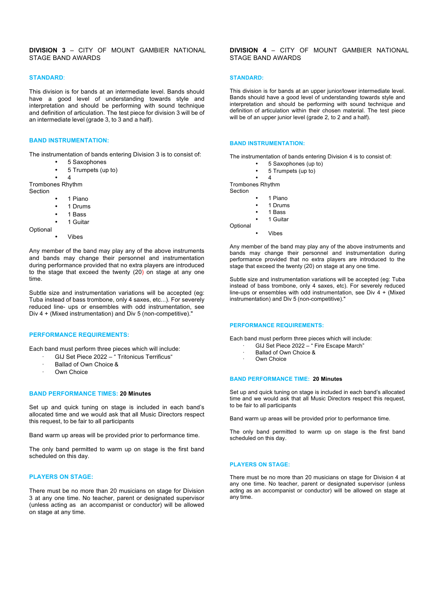# **STANDARD**:

This division is for bands at an intermediate level. Bands should have a good level of understanding towards style and interpretation and should be performing with sound technique and definition of articulation. The test piece for division 3 will be of an intermediate level (grade 3, to 3 and a half).

# **BAND INSTRUMENTATION:**

The instrumentation of bands entering Division 3 is to consist of:

- 5 Saxophones
- 5 Trumpets (up to)

# • 4

Trombones Rhythm

Section

- 1 Piano
- 1 Drums
- 1 Bass
- 1 Guitar

**Optional** 

**Vibes** 

Any member of the band may play any of the above instruments and bands may change their personnel and instrumentation during performance provided that no extra players are introduced to the stage that exceed the twenty (20) on stage at any one time.

Subtle size and instrumentation variations will be accepted (eg: Tuba instead of bass trombone, only 4 saxes, etc...). For severely reduced line- ups or ensembles with odd instrumentation, see Div 4 + (Mixed instrumentation) and Div 5 (non-competitive)."

# **PERFORMANCE REQUIREMENTS:**

Each band must perform three pieces which will include:

- GIJ Set Piece 2022 " Tritonicus Terrificus"
- Ballad of Own Choice &
- Own Choice

# **BAND PERFORMANCE TIMES: 20 Minutes**

Set up and quick tuning on stage is included in each band's allocated time and we would ask that all Music Directors respect this request, to be fair to all participants

Band warm up areas will be provided prior to performance time.

The only band permitted to warm up on stage is the first band scheduled on this day.

# **PLAYERS ON STAGE:**

There must be no more than 20 musicians on stage for Division 3 at any one time. No teacher, parent or designated supervisor (unless acting as an accompanist or conductor) will be allowed on stage at any time.

# **DIVISION 4** – CITY OF MOUNT GAMBIER NATIONAL STAGE BAND AWARDS

#### **STANDARD:**

This division is for bands at an upper junior/lower intermediate level. Bands should have a good level of understanding towards style and interpretation and should be performing with sound technique and definition of articulation within their chosen material. The test piece will be of an upper junior level (grade 2, to 2 and a half).

#### **BAND INSTRUMENTATION:**

The instrumentation of bands entering Division 4 is to consist of:

- 5 Saxophones (up to)
- 5 Trumpets (up to)

• 4 Trombones Rhythm

- Section
	- 1 Piano
	- 1 Drums
	- 1 Bass
	- 1 Guitar

Optional • Vibes

Any member of the band may play any of the above instruments and bands may change their personnel and instrumentation during performance provided that no extra players are introduced to the stage that exceed the twenty (20) on stage at any one time.

Subtle size and instrumentation variations will be accepted (eg: Tuba instead of bass trombone, only 4 saxes, etc). For severely reduced line-ups or ensembles with odd instrumentation, see Div  $4 +$  (Mixed instrumentation) and Div 5 (non-competitive)."

#### **PERFORMANCE REQUIREMENTS:**

Each band must perform three pieces which will include:

- GIJ Set Piece 2022 " Fire Escape March"
	- Ballad of Own Choice &
	- · Own Choice

# **BAND PERFORMANCE TIME: 20 Minutes**

Set up and quick tuning on stage is included in each band's allocated time and we would ask that all Music Directors respect this request, to be fair to all participants

Band warm up areas will be provided prior to performance time.

The only band permitted to warm up on stage is the first band scheduled on this day.

# **PLAYERS ON STAGE:**

There must be no more than 20 musicians on stage for Division 4 at any one time. No teacher, parent or designated supervisor (unless acting as an accompanist or conductor) will be allowed on stage at any time.